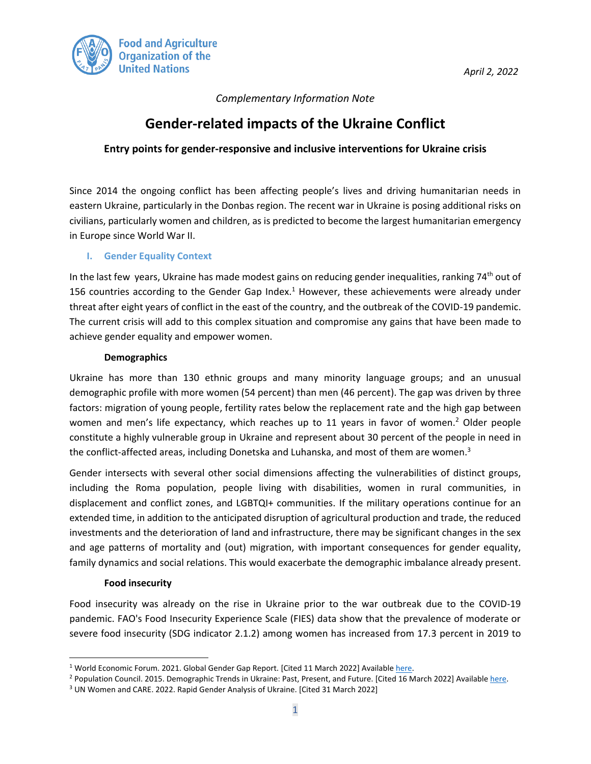

*April 2, 2022* 

## *Complementary Information Note*

# **Gender-related impacts of the Ukraine Conflict**

## **Entry points for gender-responsive and inclusive interventions for Ukraine crisis**

Since 2014 the ongoing conflict has been affecting people's lives and driving humanitarian needs in eastern Ukraine, particularly in the Donbas region. The recent war in Ukraine is posing additional risks on civilians, particularly women and children, as is predicted to become the largest humanitarian emergency in Europe since World War II.

#### **I. Gender Equality Context**

In the last few years, Ukraine has made modest gains on reducing gender inequalities, ranking  $74<sup>th</sup>$  out of 156 countries according to the Gender Gap Index. $1$  However, these achievements were already under threat after eight years of conflict in the east of the country, and the outbreak of the COVID-19 pandemic. The current crisis will add to this complex situation and compromise any gains that have been made to achieve gender equality and empower women.

#### **Demographics**

Ukraine has more than 130 ethnic groups and many minority language groups; and an unusual demographic profile with more women (54 percent) than men (46 percent). The gap was driven by three factors: migration of young people, fertility rates below the replacement rate and the high gap between women and men's life expectancy, which reaches up to 11 years in favor of women.<sup>2</sup> Older people constitute a highly vulnerable group in Ukraine and represent about 30 percent of the people in need in the conflict-affected areas, including Donetska and Luhanska, and most of them are women. $3$ 

Gender intersects with several other social dimensions affecting the vulnerabilities of distinct groups, including the Roma population, people living with disabilities, women in rural communities, in displacement and conflict zones, and LGBTQI+ communities. If the military operations continue for an extended time, in addition to the anticipated disruption of agricultural production and trade, the reduced investments and the deterioration of land and infrastructure, there may be significant changes in the sex and age patterns of mortality and (out) migration, with important consequences for gender equality, family dynamics and social relations. This would exacerbate the demographic imbalance already present.

#### **Food insecurity**

Food insecurity was already on the rise in Ukraine prior to the war outbreak due to the COVID-19 pandemic. FAO's Food Insecurity Experience Scale (FIES) data show that the prevalence of moderate or severe food insecurity (SDG indicator 2.1.2) among women has increased from 17.3 percent in 2019 to

<sup>&</sup>lt;sup>1</sup> World Economic Forum. 2021. Global Gender Gap Report. [Cited 11 March 2022] Availabl[e here.](https://www.weforum.org/reports/global-gender-gap-report-2021)

<sup>&</sup>lt;sup>2</sup> Population Council. 2015. Demographic Trends in Ukraine: Past, Present, and Future. [Cited 16 March 2022] Availabl[e here.](https://ideas.repec.org/a/bla/popdev/v41y2015i2p315-337.html)

<sup>3</sup> UN Women and CARE. 2022. Rapid Gender Analysis of Ukraine. [Cited 31 March 2022]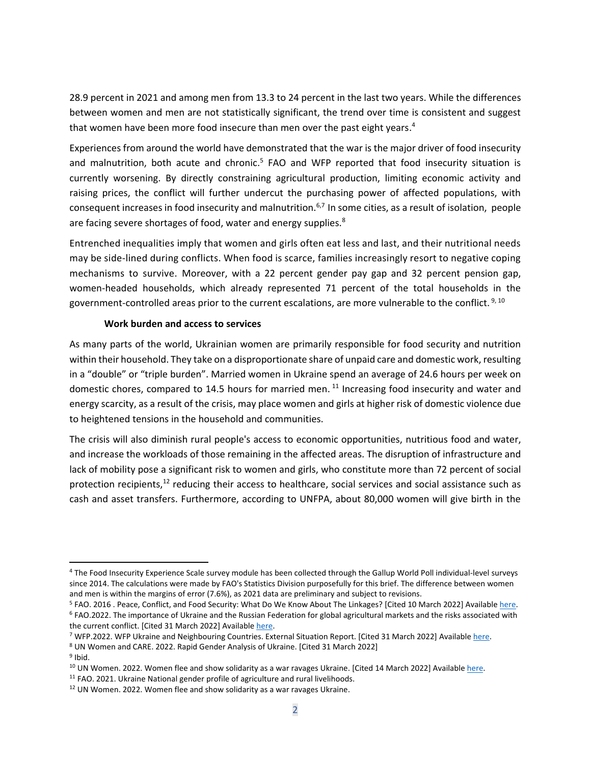28.9 percent in 2021 and among men from 13.3 to 24 percent in the last two years. While the differences between women and men are not statistically significant, the trend over time is consistent and suggest that women have been more food insecure than men over the past eight years.<sup>4</sup>

Experiences from around the world have demonstrated that the war is the major driver of food insecurity and malnutrition, both acute and chronic.<sup>5</sup> FAO and WFP reported that food insecurity situation is currently worsening. By directly constraining agricultural production, limiting economic activity and raising prices, the conflict will further undercut the purchasing power of affected populations, with consequent increases in food insecurity and malnutrition.6,7 In some cities, as a result of isolation, people are facing severe shortages of food, water and energy supplies.<sup>8</sup>

Entrenched inequalities imply that women and girls often eat less and last, and their nutritional needs may be side-lined during conflicts. When food is scarce, families increasingly resort to negative coping mechanisms to survive. Moreover, with a 22 percent gender pay gap and 32 percent pension gap, women-headed households, which already represented 71 percent of the total households in the government-controlled areas prior to the current escalations, are more vulnerable to the conflict. <sup>9, 10</sup>

#### **Work burden and access to services**

As many parts of the world, Ukrainian women are primarily responsible for food security and nutrition within their household. They take on a disproportionate share of unpaid care and domestic work, resulting in a "double" or "triple burden". Married women in Ukraine spend an average of 24.6 hours per week on domestic chores, compared to 14.5 hours for married men. <sup>11</sup> Increasing food insecurity and water and energy scarcity, as a result of the crisis, may place women and girls at higher risk of domestic violence due to heightened tensions in the household and communities.

The crisis will also diminish rural people's access to economic opportunities, nutritious food and water, and increase the workloads of those remaining in the affected areas. The disruption of infrastructure and lack of mobility pose a significant risk to women and girls, who constitute more than 72 percent of social protection recipients,<sup>12</sup> reducing their access to healthcare, social services and social assistance such as cash and asset transfers. Furthermore, according to UNFPA, about 80,000 women will give birth in the

<sup>8</sup> UN Women and CARE. 2022. Rapid Gender Analysis of Ukraine. [Cited 31 March 2022]

<sup>4</sup> The Food Insecurity Experience Scale survey module has been collected through the Gallup World Poll individual-level surveys since 2014. The calculations were made by FAO's Statistics Division purposefully for this brief. The difference between women and men is within the margins of error (7.6%), as 2021 data are preliminary and subject to revisions.

<sup>&</sup>lt;sup>5</sup> FAO. 2016 . Peace, Conflict, and Food Security: What Do We Know About The Linkages? [Cited 10 March 2022] Available here. <sup>6</sup> FAO.2022. The importance of Ukraine and the Russian Federation for global agricultural markets and the risks associated with the current conflict. [Cited 31 March 2022] Available here.

<sup>7</sup> WFP.2022. WFP Ukraine and Neighbouring Countries. External Situation Report. [Cited 31 March 2022] Availabl[e here.](https://reliefweb.int/sites/reliefweb.int/files/resources/WFP%20Ukraine%20and%20Neighbouring%20Countries%20External%20Sitrep%20%235_14%20March.pdf)

<sup>&</sup>lt;sup>9</sup> Ibid.

<sup>&</sup>lt;sup>10</sup> UN Women. 2022. Women flee and show solidarity as a war ravages Ukraine. [Cited 14 March 2022] Available [here.](https://www.unwomen.org/en/news-stories/feature-story/2022/03/women-flee-and-show-solidarity-as-a-war-ravages-ukraine)

<sup>&</sup>lt;sup>11</sup> FAO. 2021. Ukraine National gender profile of agriculture and rural livelihoods. <sup>12</sup> UN Women. 2022. Women flee and show solidarity as a war ravages Ukraine.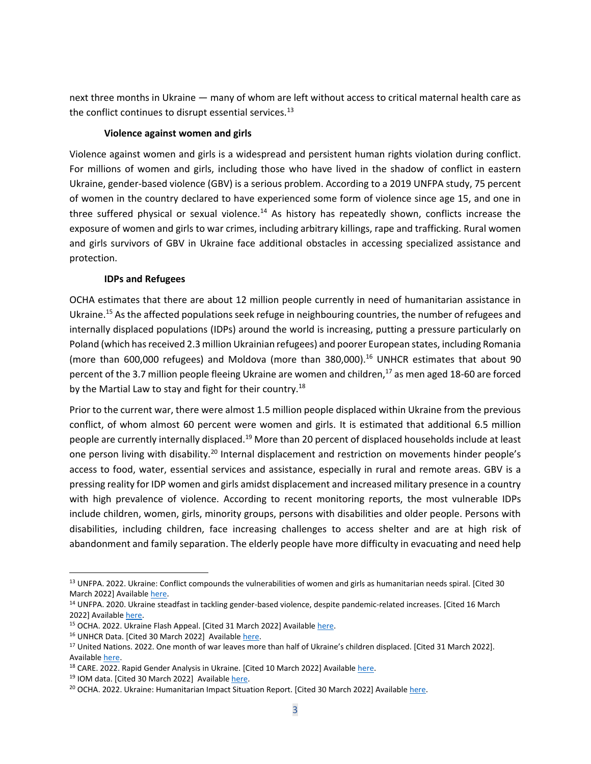next three months in Ukraine — many of whom are left without access to critical maternal health care as the conflict continues to disrupt essential services. $^{13}$ 

#### **Violence against women and girls**

Violence against women and girls is a widespread and persistent human rights violation during conflict. For millions of women and girls, including those who have lived in the shadow of conflict in eastern Ukraine, gender-based violence (GBV) is a serious problem. According to a 2019 UNFPA study, 75 percent of women in the country declared to have experienced some form of violence since age 15, and one in three suffered physical or sexual violence.<sup>14</sup> As history has repeatedly shown, conflicts increase the exposure of women and girls to war crimes, including arbitrary killings, rape and trafficking. Rural women and girls survivors of GBV in Ukraine face additional obstacles in accessing specialized assistance and protection.

### **IDPs and Refugees**

OCHA estimates that there are about 12 million people currently in need of humanitarian assistance in Ukraine. <sup>15</sup> As the affected populations seek refuge in neighbouring countries, the number of refugees and internally displaced populations (IDPs) around the world is increasing, putting a pressure particularly on Poland (which has received 2.3 million Ukrainian refugees) and poorer European states, including Romania (more than 600,000 refugees) and Moldova (more than 380,000).<sup>16</sup> UNHCR estimates that about 90 percent of the 3.7 million people fleeing Ukraine are women and children, $^{17}$  as men aged 18-60 are forced by the Martial Law to stay and fight for their country.<sup>18</sup>

Prior to the current war, there were almost 1.5 million people displaced within Ukraine from the previous conflict, of whom almost 60 percent were women and girls. It is estimated that additional 6.5 million people are currently internally displaced.<sup>19</sup> More than 20 percent of displaced households include at least one person living with disability.<sup>20</sup> Internal displacement and restriction on movements hinder people's access to food, water, essential services and assistance, especially in rural and remote areas. GBV is a pressing reality for IDP women and girls amidst displacement and increased military presence in a country with high prevalence of violence. According to recent monitoring reports, the most vulnerable IDPs include children, women, girls, minority groups, persons with disabilities and older people. Persons with disabilities, including children, face increasing challenges to access shelter and are at high risk of abandonment and family separation. The elderly people have more difficulty in evacuating and need help

<sup>&</sup>lt;sup>13</sup> UNFPA. 2022. Ukraine: Conflict compounds the vulnerabilities of women and girls as humanitarian needs spiral. [Cited 30 March 2022] Available [here.](https://www.unfpa.org/ukraine-war)

<sup>&</sup>lt;sup>14</sup> UNFPA. 2020. Ukraine steadfast in tackling gender-based violence, despite pandemic-related increases. [Cited 16 March 2022] Availabl[e here.](https://www.unfpa.org/news/ukraine-steadfast-tackling-gender-based-violence-despite-pandemic-related-increases#:~:text=Some%2075%20per%20cent%20of,2019%20survey%20supported%20by%20UNFPA.)

<sup>&</sup>lt;sup>15</sup> OCHA. 2022. Ukraine Flash Appeal. [Cited 31 March 2022] Available [here.](https://reliefweb.int/report/ukraine/ukraine-flash-appeal-march-may-2022-enukru)

<sup>&</sup>lt;sup>16</sup> UNHCR Data. [Cited 30 March 2022] Availabl[e here.](https://data2.unhcr.org/en/situations/ukraine)

<sup>&</sup>lt;sup>17</sup> United Nations. 2022. One month of war leaves more than half of Ukraine's children displaced. [Cited 31 March 2022]. Availabl[e here.](https://news.un.org/en/story/2022/03/1114592)

<sup>&</sup>lt;sup>18</sup> CARE. 2022. Rapid Gender Analysis in Ukraine. [Cited 10 March 2022] Availabl[e here.](https://www.care-international.org/files/files/Ukraine_Rapid_Gender_Analysis_Brief_CARE.pdf)

<sup>&</sup>lt;sup>19</sup> IOM data. [Cited 30 March 2022] Available [here.](https://data.humdata.org/visualization/ukraine-humanitarian-operations/)

<sup>&</sup>lt;sup>20</sup> OCHA. 2022. Ukraine: Humanitarian Impact Situation Report. [Cited 30 March 2022] Availabl[e here.](https://reliefweb.int/sites/reliefweb.int/files/resources/2022-03-25_Ukraine%20Humanitarian%20Impact%20SitRep_FINAL.pdf)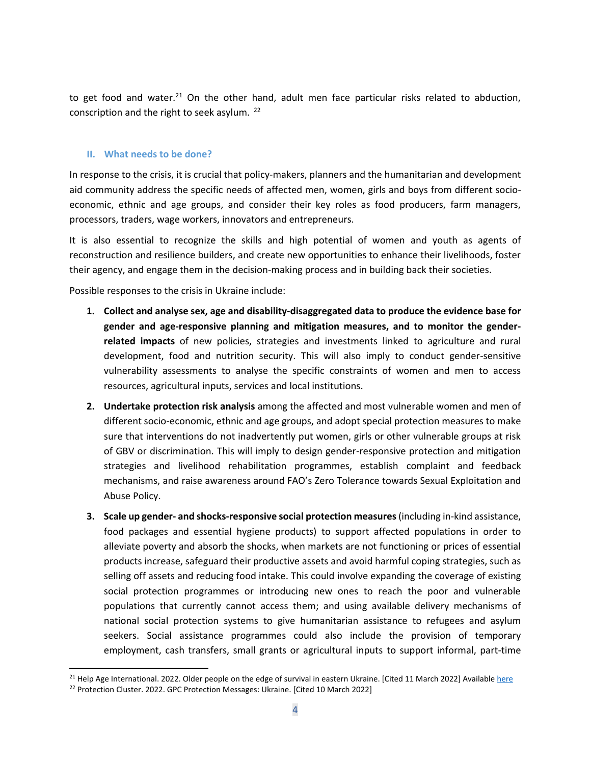to get food and water.<sup>21</sup> On the other hand, adult men face particular risks related to abduction, conscription and the right to seek asylum. <sup>22</sup>

#### **II. What needs to be done?**

In response to the crisis, it is crucial that policy-makers, planners and the humanitarian and development aid community address the specific needs of affected men, women, girls and boys from different socioeconomic, ethnic and age groups, and consider their key roles as food producers, farm managers, processors, traders, wage workers, innovators and entrepreneurs.

It is also essential to recognize the skills and high potential of women and youth as agents of reconstruction and resilience builders, and create new opportunities to enhance their livelihoods, foster their agency, and engage them in the decision-making process and in building back their societies.

Possible responses to the crisis in Ukraine include:

- **1. Collect and analyse sex, age and disability-disaggregated data to produce the evidence base for gender and age-responsive planning and mitigation measures, and to monitor the genderrelated impacts** of new policies, strategies and investments linked to agriculture and rural development, food and nutrition security. This will also imply to conduct gender-sensitive vulnerability assessments to analyse the specific constraints of women and men to access resources, agricultural inputs, services and local institutions.
- **2. Undertake protection risk analysis** among the affected and most vulnerable women and men of different socio-economic, ethnic and age groups, and adopt special protection measures to make sure that interventions do not inadvertently put women, girls or other vulnerable groups at risk of GBV or discrimination. This will imply to design gender-responsive protection and mitigation strategies and livelihood rehabilitation programmes, establish complaint and feedback mechanisms, and raise awareness around FAO's Zero Tolerance towards Sexual Exploitation and Abuse Policy.
- **3. Scale up gender- and shocks-responsive social protection measures**(including in-kind assistance, food packages and essential hygiene products) to support affected populations in order to alleviate poverty and absorb the shocks, when markets are not functioning or prices of essential products increase, safeguard their productive assets and avoid harmful coping strategies, such as selling off assets and reducing food intake. This could involve expanding the coverage of existing social protection programmes or introducing new ones to reach the poor and vulnerable populations that currently cannot access them; and using available delivery mechanisms of national social protection systems to give humanitarian assistance to refugees and asylum seekers. Social assistance programmes could also include the provision of temporary employment, cash transfers, small grants or agricultural inputs to support informal, part-time

<sup>&</sup>lt;sup>21</sup> Help Age International. 2022. Older people on the edge of survival in eastern Ukraine. [Cited 11 March 2022] Available [here](https://www.helpage.org/newsroom/latest-news/older-people-on-the-edge-of-survival-in-eastern-ukraine/) <sup>22</sup> Protection Cluster. 2022. GPC Protection Messages: Ukraine. [Cited 10 March 2022]